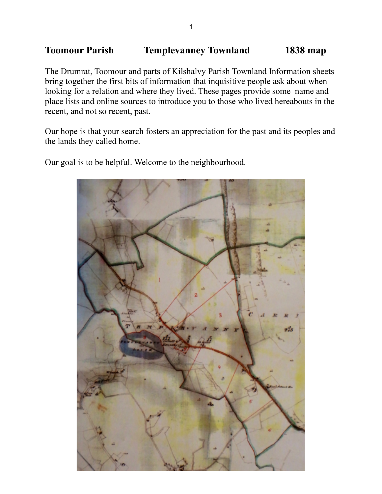# **Toomour Parish Templevanney Townland 1838 map**

The Drumrat, Toomour and parts of Kilshalvy Parish Townland Information sheets bring together the first bits of information that inquisitive people ask about when looking for a relation and where they lived. These pages provide some name and place lists and online sources to introduce you to those who lived hereabouts in the recent, and not so recent, past.

Our hope is that your search fosters an appreciation for the past and its peoples and the lands they called home.

Our goal is to be helpful. Welcome to the neighbourhood.

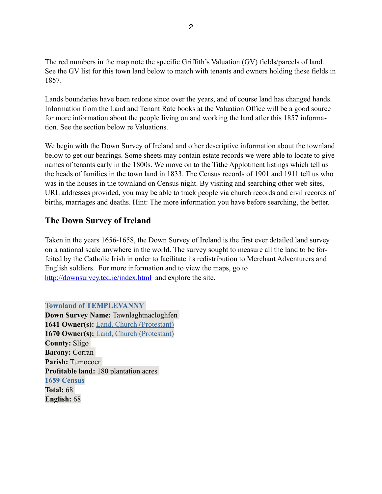The red numbers in the map note the specific Griffith's Valuation (GV) fields/parcels of land. See the GV list for this town land below to match with tenants and owners holding these fields in 1857.

Lands boundaries have been redone since over the years, and of course land has changed hands. Information from the Land and Tenant Rate books at the Valuation Office will be a good source for more information about the people living on and working the land after this 1857 information. See the section below re Valuations.

We begin with the Down Survey of Ireland and other descriptive information about the townland below to get our bearings. Some sheets may contain estate records we were able to locate to give names of tenants early in the 1800s. We move on to the Tithe Applotment listings which tell us the heads of families in the town land in 1833. The Census records of 1901 and 1911 tell us who was in the houses in the townland on Census night. By visiting and searching other web sites, URL addresses provided, you may be able to track people via church records and civil records of births, marriages and deaths. Hint: The more information you have before searching, the better.

### **The Down Survey of Ireland**

Taken in the years 1656-1658, the Down Survey of Ireland is the first ever detailed land survey on a national scale anywhere in the world. The survey sought to measure all the land to be forfeited by the Catholic Irish in order to facilitate its redistribution to Merchant Adventurers and English soldiers. For more information and to view the maps, go to <http://downsurvey.tcd.ie/index.html>and explore the site.

**Townland of TEMPLEVANNY Down Survey Name:** Tawnlaghtnacloghfen 1641 Owner(s): [Land, Church \(Protestant\)](http://downsurvey.tcd.ie/landowners.php#l1=Land,%20Church) **1670 Owner(s):** [Land, Church \(Protestant\)](http://downsurvey.tcd.ie/landowners.php#l4=Land,%20Church) **County:** Sligo **Barony:** Corran **Parish:** Tumocoer **Profitable land:** 180 plantation acres **1659 Census Total:** 68 **English:** 68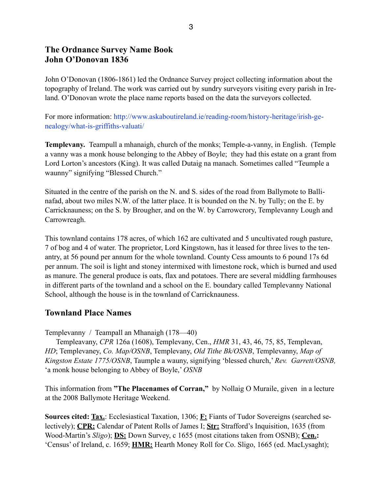### **The Ordnance Survey Name Book John O'Donovan 1836**

John O'Donovan (1806-1861) led the Ordnance Survey project collecting information about the topography of Ireland. The work was carried out by sundry surveyors visiting every parish in Ireland. O'Donovan wrote the place name reports based on the data the surveyors collected.

For more information: http://www.askaboutireland.ie/reading-room/history-heritage/irish-genealogy/what-is-griffiths-valuati/

**Templevany.** Teampull a mhanaigh, church of the monks; Temple-a-vanny, in English. (Temple a vanny was a monk house belonging to the Abbey of Boyle; they had this estate on a grant from Lord Lorton's ancestors (King). It was called Dutaig na manach. Sometimes called "Teumple a waunny" signifying "Blessed Church."

Situated in the centre of the parish on the N. and S. sides of the road from Ballymote to Ballinafad, about two miles N.W. of the latter place. It is bounded on the N. by Tully; on the E. by Carricknauness; on the S. by Brougher, and on the W. by Carrowcrory, Templevanny Lough and Carrowreagh.

This townland contains 178 acres, of which 162 are cultivated and 5 uncultivated rough pasture, 7 of bog and 4 of water. The proprietor, Lord Kingstown, has it leased for three lives to the tenantry, at 56 pound per annum for the whole townland. County Cess amounts to 6 pound 17s 6d per annum. The soil is light and stoney intermixed with limestone rock, which is burned and used as manure. The general produce is oats, flax and potatoes. There are several middling farmhouses in different parts of the townland and a school on the E. boundary called Templevanny National School, although the house is in the townland of Carricknauness.

### **Townland Place Names**

Templevanny / Teampall an Mhanaigh (178—40)

 Templeavany, *CPR* 126a (1608), Templevany, Cen., *HMR* 31, 43, 46, 75, 85, Templevan, *HD*; Templevaney, *Co. Map/OSNB*, Templevany, *Old Tithe Bk/OSNB*, Templevanny, *Map of Kingston Estate 1775/OSNB*, Taumple a wauny, signifying 'blessed church,' *Rev. Garrett/OSNB,*  'a monk house belonging to Abbey of Boyle,' *OSNB*

This information from **"The Placenames of Corran,"** by Nollaig O Muraile, given in a lecture at the 2008 Ballymote Heritage Weekend.

**Sources cited: Tax.**: Ecclesiastical Taxation, 1306; **F:** Fiants of Tudor Sovereigns (searched selectively); **CPR:** Calendar of Patent Rolls of James I; **Str:** Strafford's Inquisition, 1635 (from Wood-Martin's *Sligo*); **DS:** Down Survey, c 1655 (most citations taken from OSNB); **Cen.:** 'Census' of Ireland, c. 1659; **HMR:** Hearth Money Roll for Co. Sligo, 1665 (ed. MacLysaght);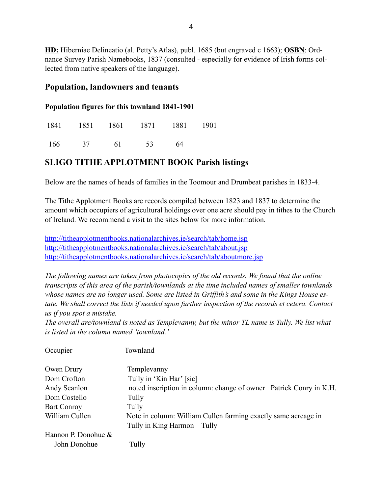**HD:** Hiberniae Delineatio (al. Petty's Atlas), publ. 1685 (but engraved c 1663); **OSBN**: Ordnance Survey Parish Namebooks, 1837 (consulted - especially for evidence of Irish forms collected from native speakers of the language).

#### **Population, landowners and tenants**

#### **Population figures for this townland 1841-1901**

|     |    |    | 1841 1851 1861 1871 1881 |    | 1901 |
|-----|----|----|--------------------------|----|------|
| 166 | 37 | 61 | 53                       | 64 |      |

### **SLIGO TITHE APPLOTMENT BOOK Parish listings**

Below are the names of heads of families in the Toomour and Drumbeat parishes in 1833-4.

The Tithe Applotment Books are records compiled between 1823 and 1837 to determine the amount which occupiers of agricultural holdings over one acre should pay in tithes to the Church of Ireland. We recommend a visit to the sites below for more information.

<http://titheapplotmentbooks.nationalarchives.ie/search/tab/home.jsp> <http://titheapplotmentbooks.nationalarchives.ie/search/tab/about.jsp> <http://titheapplotmentbooks.nationalarchives.ie/search/tab/aboutmore.jsp>

*The following names are taken from photocopies of the old records. We found that the online transcripts of this area of the parish/townlands at the time included names of smaller townlands whose names are no longer used. Some are listed in Griffith's and some in the Kings House estate. We shall correct the lists if needed upon further inspection of the records et cetera. Contact us if you spot a mistake.* 

*The overall are/townland is noted as Templevanny, but the minor TL name is Tully. We list what is listed in the column named 'townland.'*

| Occupier            | Townland                                                           |
|---------------------|--------------------------------------------------------------------|
| Owen Drury          | Templevanny                                                        |
| Dom Crofton         | Tully in 'Kin Har' [sic]                                           |
| Andy Scanlon        | noted inscription in column: change of owner Patrick Conry in K.H. |
| Dom Costello        | Tully                                                              |
| <b>Bart Conroy</b>  | Tully                                                              |
| William Cullen      | Note in column: William Cullen farming exactly same acreage in     |
|                     | Tully in King Harmon<br>Tully                                      |
| Hannon P. Donohue & |                                                                    |
| John Donohue        | Tully                                                              |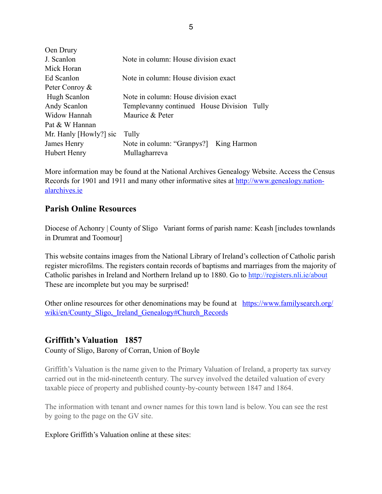| Oen Drury              |                                               |
|------------------------|-----------------------------------------------|
| J. Scanlon             | Note in column: House division exact          |
| Mick Horan             |                                               |
| Ed Scanlon             | Note in column: House division exact          |
| Peter Conroy &         |                                               |
| Hugh Scanlon           | Note in column: House division exact          |
| Andy Scanlon           | Templevanny continued House Division<br>Tully |
| Widow Hannah           | Maurice & Peter                               |
| Pat & W Hannan         |                                               |
| Mr. Hanly [Howly?] sic | Tully                                         |
| James Henry            | Note in column: "Granpys?] King Harmon        |
| Hubert Henry           | Mullagharreva                                 |

More information may be found at the National Archives Genealogy Website. Access the Census [Records for 1901 and 1911 and many other informative sites at http://www.genealogy.nation](http://www.genealogy.nationalarchives.ie)alarchives.ie

### **Parish Online Resources**

Diocese of Achonry | County of Sligo Variant forms of parish name: Keash [includes townlands] in Drumrat and Toomour]

This website contains images from the National Library of Ireland's collection of Catholic parish register microfilms. The registers contain records of baptisms and marriages from the majority of Catholic parishes in Ireland and Northern Ireland up to 1880. Go to<http://registers.nli.ie/about> These are incomplete but you may be surprised!

[Other online resources for other denominations may be found at https://www.familysearch.org/](https://www.familysearch.org/wiki/en/County_Sligo,_Ireland_Genealogy#Church_Records) wiki/en/County\_Sligo, Ireland\_Genealogy#Church\_Records

### **Griffith's Valuation 1857**

County of Sligo, Barony of Corran, Union of Boyle

Griffith's Valuation is the name given to the Primary Valuation of Ireland, a property tax survey carried out in the mid-nineteenth century. The survey involved the detailed valuation of every taxable piece of property and published county-by-county between 1847 and 1864.

The information with tenant and owner names for this town land is below. You can see the rest by going to the page on the GV site.

#### Explore Griffith's Valuation online at these sites: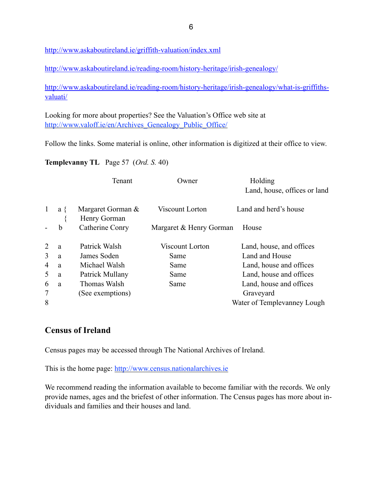<http://www.askaboutireland.ie/griffith-valuation/index.xml>

<http://www.askaboutireland.ie/reading-room/history-heritage/irish-genealogy/>

[http://www.askaboutireland.ie/reading-room/history-heritage/irish-genealogy/what-is-griffiths](http://www.askaboutireland.ie/reading-room/history-heritage/irish-genealogy/what-is-griffiths-valuati/)valuati/

Looking for more about properties? See the Valuation's Office web site at http://www.valoff.ie/en/Archives Genealogy Public Office/

Follow the links. Some material is online, other information is digitized at their office to view.

**Templevanny TL** Page 57 (*Ord. S.* 40)

|              |     | Tenant                            | Owner                   | Holding<br>Land, house, offices or land |
|--------------|-----|-----------------------------------|-------------------------|-----------------------------------------|
| $\mathbf{1}$ | a { | Margaret Gorman &<br>Henry Gorman | Viscount Lorton         | Land and herd's house                   |
|              | b   | Catherine Conry                   | Margaret & Henry Gorman | House                                   |
| 2            | a   | Patrick Walsh                     | Viscount Lorton         | Land, house, and offices                |
| 3            | a   | James Soden                       | Same                    | Land and House                          |
| 4            | a   | Michael Walsh                     | Same                    | Land, house and offices                 |
| 5            | a   | Patrick Mullany                   | Same                    | Land, house and offices                 |
| 6            | a   | Thomas Walsh                      | Same                    | Land, house and offices                 |
| 7            |     | (See exemptions)                  |                         | Graveyard                               |
| 8            |     |                                   |                         | Water of Templevanney Lough             |

### **Census of Ireland**

Census pages may be accessed through The National Archives of Ireland.

This is the home page: <http://www.census.nationalarchives.ie>

We recommend reading the information available to become familiar with the records. We only provide names, ages and the briefest of other information. The Census pages has more about individuals and families and their houses and land.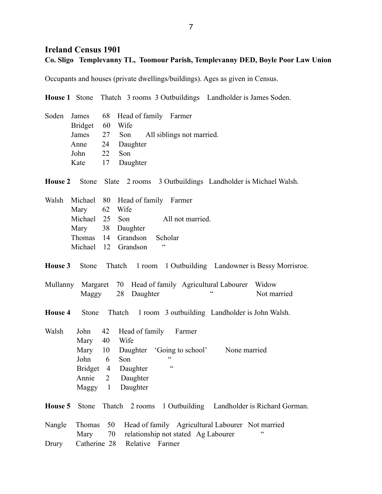## **Ireland Census 1901 Co. Sligo Templevanny TL, Toomour Parish, Templevanny DED, Boyle Poor Law Union**

Occupants and houses (private dwellings/buildings). Ages as given in Census.

**House 1** Stone Thatch 3 rooms 3 Outbuildings Landholder is James Soden.

|                 | Soden James 68 Head of family Farmer   |
|-----------------|----------------------------------------|
| Bridget 60 Wife |                                        |
|                 | James 27 Son All siblings not married. |
|                 | Anne 24 Daughter                       |
| John 22 Son     |                                        |
|                 | Kate 17 Daughter                       |

**House 2** Stone Slate 2 rooms 3 Outbuildings Landholder is Michael Walsh.

| Walsh Michael 80 Head of family Farmer |  |                            |                  |
|----------------------------------------|--|----------------------------|------------------|
| Mary 62 Wife                           |  |                            |                  |
| Michael 25 Son                         |  |                            | All not married. |
|                                        |  | Mary 38 Daughter           |                  |
|                                        |  | Thomas 14 Grandson Scholar |                  |
|                                        |  | Michael 12 Grandson        | 66               |

**House 3** Stone Thatch 1 room 1 Outbuilding Landowner is Bessy Morrisroe.

- Mullanny Margaret 70 Head of family Agricultural Labourer Widow Maggy 28 Daughter " Not married
- **House 4** Stone Thatch 1 room 3 outbuilding Landholder is John Walsh.

Walsh John 42 Head of family Farmer Mary 40 Wife Mary 10 Daughter 'Going to school' None married John 6 Son " Bridget 4 Daughter Annie 2 Daughter Maggy 1 Daughter

**House 5** Stone Thatch 2 rooms 1 Outbuilding Landholder is Richard Gorman.

|  |                                    | Nangle Thomas 50 Head of family Agricultural Labourer Not married |          |
|--|------------------------------------|-------------------------------------------------------------------|----------|
|  |                                    | Mary 70 relationship not stated Ag Labourer                       | <b>"</b> |
|  | Drury Catherine 28 Relative Farmer |                                                                   |          |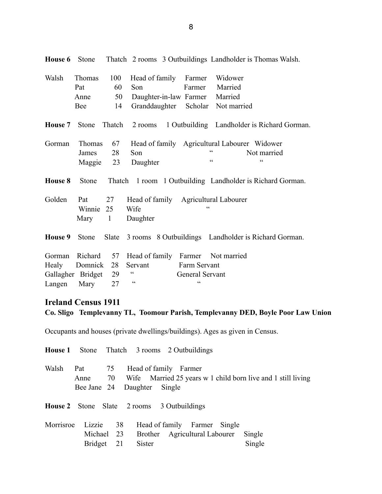| Walsh   | <b>Thomas</b>     | 100    | Head of family Farmer                |                                                   | Widower                                                    |
|---------|-------------------|--------|--------------------------------------|---------------------------------------------------|------------------------------------------------------------|
|         | Pat               | 60     | Son                                  | Farmer                                            | Married                                                    |
|         | Anne              | 50     | Daughter-in-law Farmer               |                                                   | Married                                                    |
|         | Bee               | 14     | Granddaughter Scholar                |                                                   | Not married                                                |
| House 7 | Stone             | Thatch |                                      |                                                   | 2 rooms 1 Outbuilding Landholder is Richard Gorman.        |
| Gorman  | Thomas            | 67     |                                      |                                                   | Head of family Agricultural Labourer Widower               |
|         | James             | 28     | Son                                  |                                                   | Not married                                                |
|         | Maggie            | 23     | Daughter                             | $\boldsymbol{\varsigma}$ $\boldsymbol{\varsigma}$ | $\epsilon$                                                 |
| House 8 | <b>Stone</b>      |        |                                      |                                                   | Thatch 1 room 1 Outbuilding Landholder is Richard Gorman.  |
| Golden  | Pat               | 27     | Head of family Agricultural Labourer |                                                   |                                                            |
|         | Winnie 25         |        | Wife                                 |                                                   |                                                            |
|         | Mary 1            |        | Daughter                             |                                                   |                                                            |
| House 9 | Stone             |        |                                      |                                                   | Slate 3 rooms 8 Outbuildings Landholder is Richard Gorman. |
| Gorman  | Richard           | 57     | Head of family Farmer Not married    |                                                   |                                                            |
| Healy   | Domnick           | 28     | Servant                              | Farm Servant                                      |                                                            |
|         | Gallagher Bridget | 29     | $\zeta$ $\zeta$                      | General Servant                                   |                                                            |
| Langen  | Mary              | 27     | $\zeta\,\zeta$                       | $\subset$                                         |                                                            |

**House 6** Stone Thatch 2 rooms 3 Outbuildings Landholder is Thomas Walsh.

#### **Ireland Census 1911**

**Co. Sligo Templevanny TL, Toomour Parish, Templevanny DED, Boyle Poor Law Union**

Occupants and houses (private dwellings/buildings). Ages as given in Census.

|           |                            |                        |               | <b>House 1</b> Stone Thatch 3 rooms 2 Outbuildings            |                                                                 |
|-----------|----------------------------|------------------------|---------------|---------------------------------------------------------------|-----------------------------------------------------------------|
| Walsh     | Pat<br>Anne<br>Bee Jane 24 | 75                     | Daughter      | Head of family Farmer<br>Single                               | 70 Wife Married 25 years w 1 child born live and 1 still living |
|           |                            |                        |               | <b>House 2</b> Stone Slate 2 rooms 3 Outbuildings             |                                                                 |
| Morrisroe | Lizzie<br><b>Bridget</b>   | 38<br>Michael 23<br>21 | <b>Sister</b> | Head of family Farmer Single<br>Brother Agricultural Labourer | Single<br>Single                                                |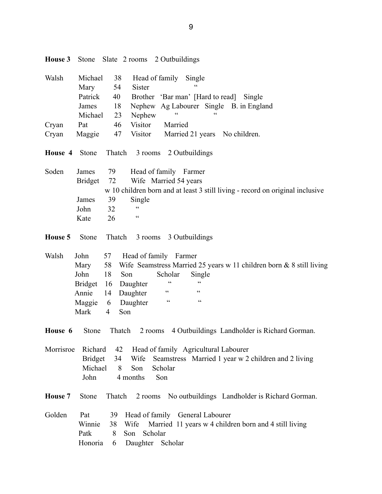| House 3   | Stone                            |                         | Slate 2 rooms 2 Outbuildings                                                                                                   |
|-----------|----------------------------------|-------------------------|--------------------------------------------------------------------------------------------------------------------------------|
| Walsh     | Michael                          | 38                      | Head of family<br>Single                                                                                                       |
|           | Mary                             | 54                      | <b>Sister</b>                                                                                                                  |
|           | Patrick                          | 40                      | Brother 'Bar man' [Hard to read]<br>Single                                                                                     |
|           | James                            | 18                      | Nephew Ag Labourer Single<br>B. in England                                                                                     |
|           | Michael                          | 23                      | Nephew                                                                                                                         |
| Cryan     | Pat                              | 46                      | Visitor<br>Married                                                                                                             |
| Cryan     | Maggie                           | 47                      | Visitor<br>Married 21 years No children.                                                                                       |
| House 4   | Stone                            | Thatch                  | 3 rooms<br>2 Outbuildings                                                                                                      |
| Soden     | James                            | 79                      | Head of family Farmer                                                                                                          |
|           | <b>Bridget</b>                   | 72                      | Wife Married 54 years                                                                                                          |
|           |                                  |                         | w 10 children born and at least 3 still living - record on original inclusive                                                  |
|           | James                            | 39                      | Single                                                                                                                         |
|           | John                             | 32                      | $\zeta$ $\zeta$                                                                                                                |
|           | Kate                             | 26                      | $\zeta$ $\zeta$                                                                                                                |
| House 5   | Stone                            | Thatch                  | 3 rooms 3 Outbuildings                                                                                                         |
| Walsh     | John                             | 57                      | Head of family Farmer                                                                                                          |
|           | Mary                             | 58                      | Wife Seamstress Married 25 years w 11 children born & 8 still living                                                           |
|           | John                             | 18<br>Son               | Scholar<br>Single                                                                                                              |
|           | <b>Bridget</b>                   | 16                      | $\boldsymbol{\varsigma}$<br>cc<br>Daughter                                                                                     |
|           | Annie                            | 14                      | $\zeta$ $\zeta$<br>$\zeta$ $\zeta$<br>Daughter                                                                                 |
|           | Maggie                           | 6                       | $\zeta$ $\zeta$<br>cc<br>Daughter                                                                                              |
|           | Mark                             | Son<br>$\overline{4}$   |                                                                                                                                |
| House 6   | Stone                            | Thatch                  | 4 Outbuildings Landholder is Richard Gorman.<br>2 rooms                                                                        |
| Morrisroe | Richard<br><b>Bridget</b>        | 42<br>34                | Head of family Agricultural Labourer<br>Seamstress Married 1 year w 2 children and 2 living<br>Wife                            |
|           | Michael<br>John                  | 8                       | Scholar<br>Son<br>Son<br>4 months                                                                                              |
| House 7   | Stone                            | Thatch                  | No outbuildings Landholder is Richard Gorman.<br>2 rooms                                                                       |
| Golden    | Pat<br>Winnie<br>Patk<br>Honoria | 39<br>38 Wife<br>8<br>6 | Head of family General Labourer<br>Married 11 years w 4 children born and 4 still living<br>Scholar<br>Son<br>Daughter Scholar |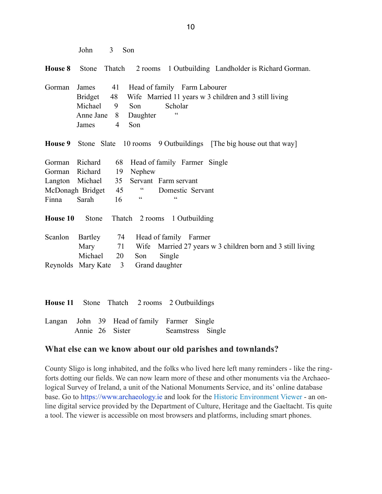| John |  | Son |
|------|--|-----|
|------|--|-----|

**House 8** Stone Thatch 2 rooms 1 Outbuilding Landholder is Richard Gorman.

|                      | Gorman James 41 Head of family Farm Labourer                     |
|----------------------|------------------------------------------------------------------|
|                      | Bridget 48 Wife Married 11 years w 3 children and 3 still living |
|                      | Michael 9 Son Scholar                                            |
| Anne Jane 8 Daughter | $\epsilon$                                                       |
| James 4 Son          |                                                                  |

**House 9** Stone Slate 10 rooms 9 Outbuildings [The big house out that way]

|             | Gorman Richard 68 Head of family Farmer Single |    |                |            |                  |  |
|-------------|------------------------------------------------|----|----------------|------------|------------------|--|
|             | Gorman Richard 19 Nephew                       |    |                |            |                  |  |
|             | Langton Michael 35 Servant Farm servant        |    |                |            |                  |  |
|             | McDonagh Bridget                               | 45 | $\overline{c}$ |            | Domestic Servant |  |
| Finna Sarah |                                                | 16 | cc             | $\epsilon$ |                  |  |

**House 10** Stone Thatch 2 rooms 1 Outbuilding

|                                     |  | Scanlon Bartley 74 Head of family Farmer |  |
|-------------------------------------|--|------------------------------------------|--|
|                                     |  | Mary 3 children born and 3 still living  |  |
| Michael 20 Son Single               |  |                                          |  |
| Reynolds Mary Kate 3 Grand daughter |  |                                          |  |

|  |  |                 |                                             | <b>House 11</b> Stone Thatch 2 rooms 2 Outbuildings |                   |  |
|--|--|-----------------|---------------------------------------------|-----------------------------------------------------|-------------------|--|
|  |  |                 | Langan John 39 Head of family Farmer Single |                                                     |                   |  |
|  |  | Annie 26 Sister |                                             |                                                     | Seamstress Single |  |

#### **What else can we know about our old parishes and townlands?**

County Sligo is long inhabited, and the folks who lived here left many reminders - like the ringforts dotting our fields. We can now learn more of these and other monuments via the Archaeological Survey of Ireland, a unit of the National Monuments Service, and its' online database base. Go to [https://www.archaeology.ie](https://www.archaeology.ie/) and look for the [Historic Environment Viewer](http://webgis.archaeology.ie/historicenvironment) - an online digital service provided by the Department of Culture, Heritage and the Gaeltacht. Tis quite a tool. The viewer is accessible on most browsers and platforms, including smart phones.

10